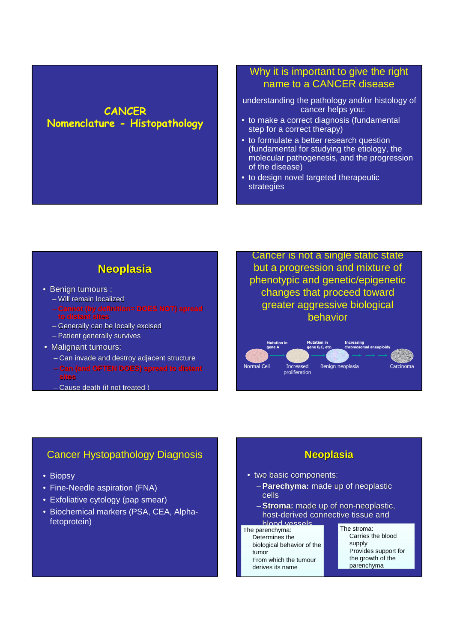## **CANCER Nomenclature - Histopathology**

## Why it is important to give the right name to a CANCER disease

- understanding the pathology and/or histology of cancer helps you:
- to make a correct diagnosis (fundamental step for a correct therapy)
- to formulate a better research question (fundamental for studying the etiology, the molecular pathogenesis, and the progression of the disease)
- to design novel targeted therapeutic strategies

## **Neoplasia**

- Benign tumours :
	- Will remain localized
	- **Cannot (by definition= DOES NOT) spread to dis**
	- Generally can be locally excised
	- Patient generally survives
- Malignant tumours:
	- Can invade and destroy adjacent structure
	- **Can (and OFTEN DOES) spread to distant sites**
	- Cause death (if not treated )

Cancer is not a single static state but a progression and mixture of phenotypic and genetic/epigenetic changes that proceed toward greater aggressive biological behavior



#### Cancer Hystopathology Diagnosis

- Biopsy
- Fine-Needle aspiration (FNA)
- Exfoliative cytology (pap smear)
- Biochemical markers (PSA, CEA, Alphafetoprotein)

#### **Neoplasia**

- two basic components:
	- –**Parechyma:** made up of neoplastic cells
	- –**Stroma:** made up of non-neoplastic, host-derived connective tissue and blood vessels

The parenchyma: The parenchyma:

Determines the biological behavior of the Determines the biological behavior of the tumor From which the tumour From which the tumour derives its name Performation of the parenchyma:<br>
Determines the Carries to<br>
biological behavior of the supply<br>
tumor<br>
From which the tumour<br>
derives its name the grow<br>
parench

Carries the blood Carries the blood supplysupply Provides support for the growth of the parenchyma parenchymaThe stroma: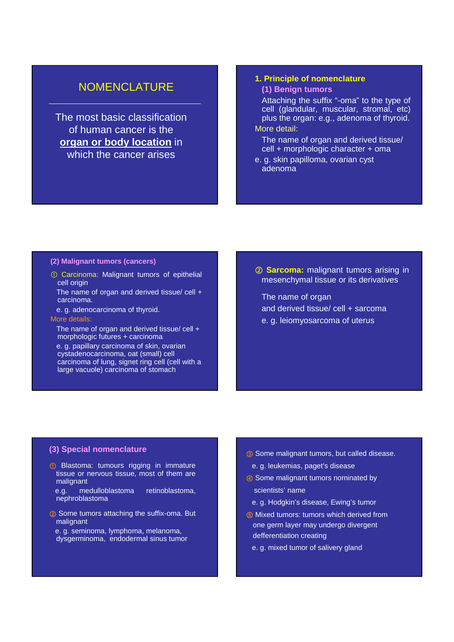### **NOMENCLATURE**

The most basic classification of human cancer is the **organ or body location** in which the cancer arises

#### **1. Principle of nomenclature**

#### **(1) Benign tumors**

Attaching the suffix "-oma" to the type of cell (glandular, muscular, stromal, etc) plus the organ: e.g., adenoma of thyroid. More detail:

The name of organ and derived tissue/ cell + morphologic character + oma

e. g. skin papilloma, ovarian cyst adenoma

#### **(2) Malignant tumors (cancers)**

- ① Carcinoma: Malignant tumors of epithelial cell origin
- The name of organ and derived tissue/ cell + carcinoma.
- e. g. adenocarcinoma of thyroid.
- More details:

The name of organ and derived tissue/ cell + morphologic futures + carcinoma

e. g. papillary carcinoma of skin, ovarian cystadenocarcinoma, oat (small) cell carcinoma of lung, signet ring cell (cell with a large vacuole) carcinoma of stomach

② **Sarcoma:** malignant tumors arising in mesenchymal tissue or its derivatives

The name of organ and derived tissue/ cell + sarcoma e. g. leiomyosarcoma of uterus

#### **(3) Special nomenclature**

① Blastoma: tumours rigging in immature tissue or nervous tissue, most of them are malignant

e.g. medulloblastoma retinoblastoma, nephroblastoma

- <sup>2</sup> Some tumors attaching the suffix-oma. But malignant
	- e. g. seminoma, lymphoma, melanoma, dysgerminoma, endodermal sinus tumor
- ③ Some malignant tumors, but called disease. e. g. leukemias, paget's disease
- ④ Some malignant tumors nominated by scientists' name
	- e. g. Hodgkin's disease, Ewing's tumor
- ⑤ Mixed tumors: tumors which derived from one germ layer may undergo divergent defferentiation creating
	- e. g. mixed tumor of salivery gland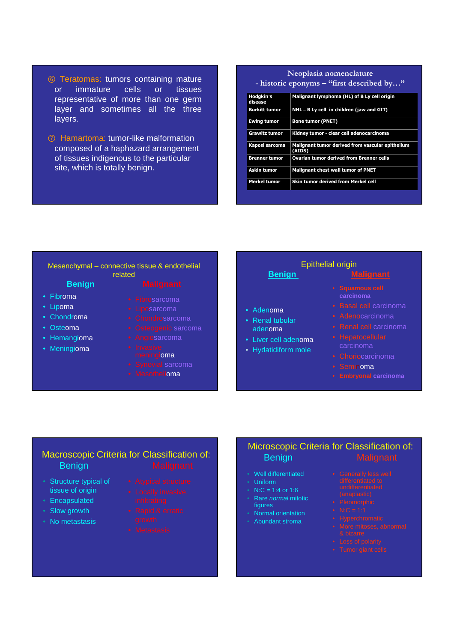- ⑥ Teratomas: tumors containing mature or immature cells or tissues representative of more than one germ layer and sometimes all the three layers.
- ⑦ Hamartoma: tumor-like malformation composed of a haphazard arrangement of tissues indigenous to the particular site, which is totally benign.

| Neoplasia nomenclature                    |                                                            |  |
|-------------------------------------------|------------------------------------------------------------|--|
| - historic eponyms – "first described by" |                                                            |  |
| Hodgkin's<br>disease                      | Malignant lymphoma (HL) of B Ly cell origin                |  |
| <b>Burkitt tumor</b>                      | NHL - B Ly cell in children (jaw and GIT)                  |  |
| <b>Ewing tumor</b>                        | <b>Bone tumor (PNET)</b>                                   |  |
| Grawitz tumor                             | Kidney tumor - clear cell adenocarcinoma                   |  |
| Kaposi sarcoma                            | Malignant tumor derived from vascular epithelium<br>(AIDS) |  |
| <b>Brenner tumor</b>                      | Ovarian tumor derived from Brenner cells                   |  |
| <b>Askin tumor</b>                        | <b>Malignant chest wall tumor of PNET</b>                  |  |
| <b>Merkel tumor</b>                       | Skin tumor derived from Merkel cell                        |  |

| <b>Benign</b><br>related<br><b>Malignant</b>                                                                                                                                                | <b>Malignant</b>                                                                                                                                                         |
|---------------------------------------------------------------------------------------------------------------------------------------------------------------------------------------------|--------------------------------------------------------------------------------------------------------------------------------------------------------------------------|
| • Fibrosarcoma<br>• Liposarcoma<br>• Adenoma<br>• Chondrosarcoma<br>• Renal tubular<br>• Osteogenic sarcoma<br>adenoma<br>• Angiosarcoma<br>• Invasive<br>• Hydatidiform mole<br>meningioma | • Squamous cell<br>carcinoma<br>• Basal cell carcinoma<br>• Adenocarcinoma<br>• Renal cell carcinoma<br>• Hepatocellular<br>carcinoma<br>• Choriocarcinoma<br>• Seminoma |
| • Synovial sarcoma<br>• Mesothelioma                                                                                                                                                        | • Liver cell adenoma                                                                                                                                                     |

#### Macroscopic Criteria for Classification of: Benign Malignant

- Structure typical of tissue of origin
- Encapsulated
- Slow growth
- No metastasis
- -
- 
- 

#### Microscopic Criteria for Classification of: Benign Malignant

- Well differentiated
- Uniform
- N:C = 1:4 or 1:6 • Rare normal mitotic
- figures • Normal orientation
- Abundant stroma
- 
- 
- 
- 
- 
- 
-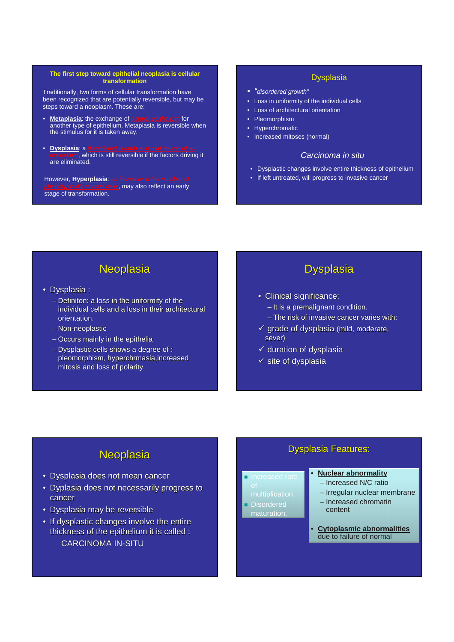#### **The first step toward epithelial neoplasia is cellular transformation**

Traditionally, two forms of cellular transformation have been recognized that are potentially reversible, but may be steps toward a neoplasm. These are:

- **Metaplasia**: the exchange of *normal epithelium* for another type of epithelium. Metaplasia is reversible when the stimulus for it is taken away.
- **Dysplasia**: a  $\frac{1}{2}$ , which is still reversible if the factors driving it are eliminated.

However, **Hyperplasia**: **p**, may also reflect an early stage of transformation.

#### Dysplasia

- "disordered growth"
- Loss in uniformity of the individual cells
- Loss of architectural orientation
- Pleomorphism
- **Hyperchromatic**
- Increased mitoses (normal)

#### Carcinoma in situ

- Dysplastic changes involve entire thickness of epithelium
- If left untreated, will progress to invasive cancer

## **Neoplasia**

- Dysplasia :
	- Definiton: a loss in the uniformity of the individual cells and a loss in their architectural orientation.
	- Non-neoplastic
	- Occurs mainly in the epithelia
	- Dysplastic cells shows a degree of : pleomorphism, hyperchrmasia,increased mitosis and loss of polarity.

## **Dysplasia**

- Clinical significance:
	- It is a premalignant condition.
	- The risk of invasive cancer varies with:
- $\checkmark$  grade of dysplasia (mild, moderate, sever)
- $\checkmark$  duration of dysplasia
- $\checkmark$  site of dysplasia

## **Neoplasia**

- Dysplasia does not mean cancer
- Dyplasia does not necessarily progress to cancer
- Dysplasia may be reversible
- If dysplastic changes involve the entire thickness of the epithelium it is called : CARCINOMA IN-SITU

#### Dysplasia Features:

- -
- 
- 
- Disordered maturation.

#### • **Nuclear abnormality**

- Increased N/C ratio
- Irregular nuclear membrane
- Increased chromatin content
- **Cytoplasmic abnormalities** due to failure of normal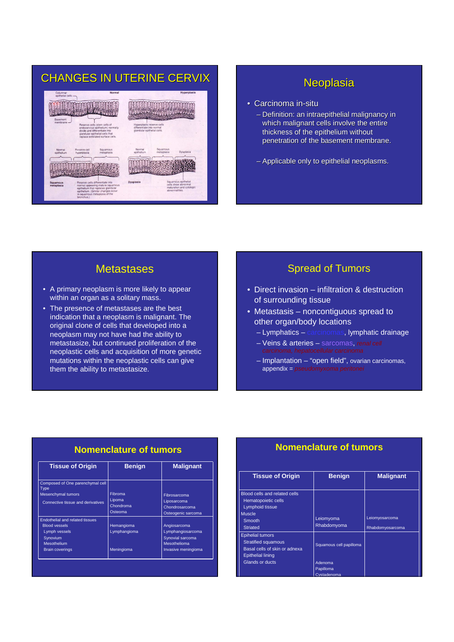# CHANGES IN UTERINE CERVIX Network of the Neoplasia



- Carcinoma in-situ
	- Definition: an intraepithelial malignancy in which malignant cells involve the entire thickness of the epithelium without penetration of the basement membrane.
	- Applicable only to epithelial neoplasms.

## **Metastases**

- A primary neoplasm is more likely to appear within an organ as a solitary mass.
- The presence of metastases are the best indication that a neoplasm is malignant. The original clone of cells that developed into a neoplasm may not have had the ability to metastasize, but continued proliferation of the neoplastic cells and acquisition of more genetic mutations within the neoplastic cells can give them the ability to metastasize.

## Spread of Tumors

- Direct invasion infiltration & destruction of surrounding tissue
- Metastasis noncontiguous spread to other organ/body locations
	- Lymphatics carcinomas, lymphatic drainage
	- Veins & arteries sarcomas, renal cell
	- Implantation "open field", ovarian carcinomas, appendix = pseudomyxoma peritonei

#### **Nomenclature of tumors**

| <b>Tissue of Origin</b>                                                                     | <b>Benign</b>                                    | <b>Malignant</b>                                                    |
|---------------------------------------------------------------------------------------------|--------------------------------------------------|---------------------------------------------------------------------|
| Composed of One parenchymal cell<br>Type                                                    |                                                  |                                                                     |
| <b>Mesenchymal tumors</b><br>Connective tissue and derivatives                              | <b>Fibroma</b><br>Lipoma<br>Chondroma<br>Osteoma | Fibrosarcoma<br>Liposarcoma<br>Chondrosarcoma<br>Osteogenic sarcoma |
| <b>Endothelial and related tissues</b><br><b>Blood vessels</b><br>Lymph vessels<br>Synovium | Hemangioma<br>Lymphangioma                       | Angiosarcoma<br>Lymphangiosarcoma<br>Synovial sarcoma               |
| <b>Mesothelium</b><br><b>Brain coverings</b>                                                | Meningioma                                       | Mesothelioma<br>Invasive meningioma                                 |

#### **Nomenclature of tumors**

| <b>Benign</b>                                   | <b>Malignant</b>                   |
|-------------------------------------------------|------------------------------------|
| Leiomyoma<br>Rhabdomyoma                        | Leiomyosarcoma<br>Rhabdomyosarcoma |
| Squamous cell papilloma<br>Adenoma<br>Papilloma |                                    |
|                                                 | Cystadenoma                        |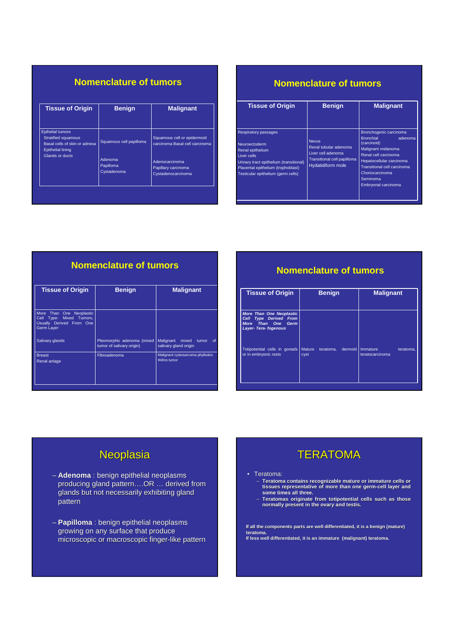#### **Nomenclature of tumors**

| <b>Benign</b>                       | <b>Malignant</b>                                              |
|-------------------------------------|---------------------------------------------------------------|
| Squamous cell papilloma             | Squamous cell or epidermoid<br>carcinoma Basal cell carcinoma |
| Adenoma<br>Papilloma<br>Cystadenoma | Adenocarcinoma<br>Papillary carcinoma<br>Cystadenocarcinoma   |
|                                     |                                                               |

#### **Nomenclature of tumors**

| <b>Tissue of Origin</b>                                                                                                                                                                                       | <b>Benign</b>                                                                                                          | <b>Malignant</b>                                                                                                                                                                                                                    |
|---------------------------------------------------------------------------------------------------------------------------------------------------------------------------------------------------------------|------------------------------------------------------------------------------------------------------------------------|-------------------------------------------------------------------------------------------------------------------------------------------------------------------------------------------------------------------------------------|
| <b>Respiratory passages</b><br><b>Neuroectoderm</b><br>Renal epithelium<br>Liver cells<br>Urinary tract epithelium (transitional)<br>Placental epithelium (trophoblast)<br>Testicular epithelium (germ cells) | <b>Nevus</b><br>Renal tubular adenoma<br>Liver cell adenoma<br>Transitional cell papilloma<br><b>Hydatidiform mole</b> | Bronchogenic carcinoma<br><b>Bronchial</b><br>adenoma<br>(carcinoid)<br>Malignant melanoma<br>Renal cell carcinoma<br>Hepatocellular carcinoma<br>Transitional cell carcinoma<br>Choriocarcinoma<br>Seminoma<br>Embryonal carcinoma |

## **Nomenclature of tumors**

| <b>Tissue of Origin</b>                                                                           | <b>Benign</b>                                           | <b>Malignant</b>                                                  |
|---------------------------------------------------------------------------------------------------|---------------------------------------------------------|-------------------------------------------------------------------|
| More Than One Neoplastic<br>Type- Mixed Tumors,<br>Cell<br>Usually Derived From One<br>Germ Layer |                                                         |                                                                   |
| Salivary glands                                                                                   | Pleomorphic adenoma (mixed<br>tumor of salivary origin) | Malignant<br>mixed<br>tumor<br><b>of</b><br>salivary gland origin |
| <b>Breast</b><br>Renal anlage                                                                     | Fibroadenoma                                            | Malignant cystosarcoma phyllodes<br>Wilms tumor                   |

#### **Nomenclature of tumors**

| <b>Tissue of Origin</b>                                                                                                                    | <b>Benign</b>                         | <b>Malignant</b>      |
|--------------------------------------------------------------------------------------------------------------------------------------------|---------------------------------------|-----------------------|
| <b>More Than One Neoplastic</b><br>Cell Type Derived From<br>More Than One<br>Germ<br>Layer-Tera-fogenous<br>Totipotential cells in gonads | dermoid<br><b>Mature</b><br>teratoma. | Immature<br>teratoma, |
| or in embryonic rests                                                                                                                      | cyst                                  | teratocarcinoma       |

## Neoplasia

- **Adenoma** : benign epithelial neoplasms producing gland pattern….OR … derived from glands but not necessarily exhibiting gland pattern
- **Papilloma** : benign epithelial neoplasms growing on any surface that produce microscopic or macroscopic finger-like pattern

## **TERATOMA**

#### • Teratoma:

- **Teratoma contains recognizable mature or immature cells or tissues representative of more than one germ-cell layer and some times all three.**
- **Teratomas originate from totipotential cells such as those normally present in the ovary and testis.**

**If all the components parts are well differentiated, it is a benign (mature) teratoma. If less well differentiated, it is an immature (malignant) teratoma.**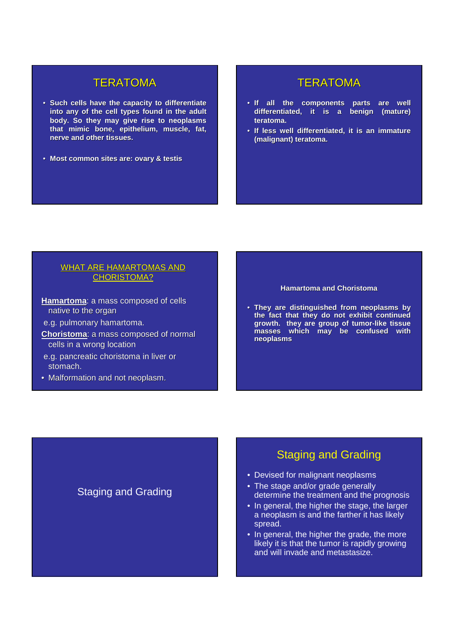#### **TERATOMA**

- **Such cells have the capacity to differentiate into any of the cell types found in the adult body. So they may give rise to neoplasms that mimic bone, epithelium, muscle, fat, nerve and other tissues.**
- **Most common sites are: ovary & testis**

#### **TERATOMA**

- **If all the components parts are well differentiated, it is a benign (mature) teratoma.**
- **If less well differentiated, it is an immature (malignant) teratoma.**

#### WHAT ARE HAMARTOMAS AND CHORISTOMA?

- **Hamartoma**: a mass composed of cells native to the organ
- e.g. pulmonary hamartoma.
- **Choristoma**: a mass composed of normal cells in a wrong location

Staging and Grading

- e.g. pancreatic choristoma in liver or stomach.
- Malformation and not neoplasm.

#### **Hamartoma and Choristoma**

• **They are distinguished from neoplasms by the fact that they do not exhibit continued growth. they are group of tumor-like tissue masses which may be confused with neoplasms**

## Staging and Grading

- Devised for malignant neoplasms
- The stage and/or grade generally determine the treatment and the prognosis
- In general, the higher the stage, the larger a neoplasm is and the farther it has likely spread.
- In general, the higher the grade, the more likely it is that the tumor is rapidly growing and will invade and metastasize.